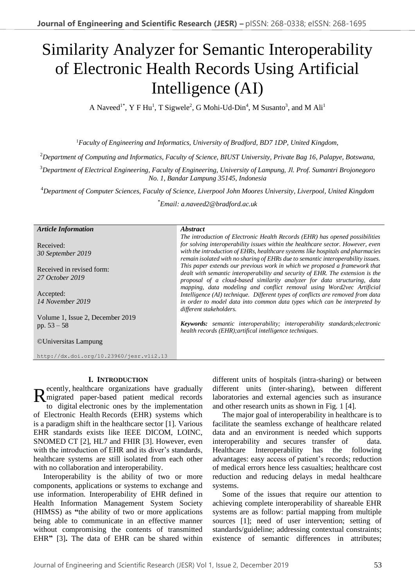# Similarity Analyzer for Semantic Interoperability of Electronic Health Records Using Artificial Intelligence (AI)

A Naveed<sup>1\*</sup>, Y F Hu<sup>1</sup>, T Sigwele<sup>2</sup>, G Mohi-Ud-Din<sup>4</sup>, M Susanto<sup>3</sup>, and M Ali<sup>1</sup>

<sup>1</sup>*Faculty of Engineering and Informatics, University of Bradford, BD7 1DP, United Kingdom,*

<sup>2</sup>*Department of Computing and Informatics, Faculty of Science, BIUST University, Private Bag 16, Palapye, Botswana,*

<sup>3</sup>*Department of Electrical Engineering, Faculty of Engineering, University of Lampung, Jl. Prof. Sumantri Brojonegoro No. 1, Bandar Lampung 35145, Indonesia*

<sup>4</sup>*Department of Computer Sciences, Faculty of Science, Liverpool John Moores University, Liverpool, United Kingdom*

\**Email: a.naveed2@bradford.ac.uk*

*Abstract*

#### *Article Information*

Received: *30 September 2019*

Received in revised form: *27 October 2019*

Accepted: *14 November 2019*

Volume 1, Issue 2, December 2019 pp. 53 – 58

©Universitas Lampung

http://dx.doi.org/10.23960/jesr.v1i2.13

### **I. INTRODUCTION**

ecently, healthcare organizations have gradually Recently, healthcare organizations have gradually<br>migrated paper-based patient medical records<br>to digital electronic ones by the implementation to digital electronic ones by the implementation of Electronic Health Records (EHR) systems which is a paradigm shift in the healthcare sector [1]. Various EHR standards exists like IEEE DICOM, LOINC, SNOMED CT [2], HL7 and FHIR [3]. However, even with the introduction of EHR and its diver's standards, healthcare systems are still isolated from each other with no collaboration and interoperability.

Interoperability is the ability of two or more components, applications or systems to exchange and use information. Interoperability of EHR defined in Health Information Management System Society (HIMSS) as **"**the ability of two or more applications being able to communicate in an effective manner without compromising the contents of transmitted EHR**"** [3]**.** The data of EHR can be shared within

*The introduction of Electronic Health Records (EHR) has opened possibilities for solving interoperability issues within the healthcare sector. However, even with the introduction of EHRs, healthcare systems like hospitals and pharmacies remain isolated with no sharing of EHRs due to semantic interoperability issues. This paper extends our previous work in which we proposed a framework that dealt with semantic interoperability and security of EHR. The extension is the proposal of a cloud-based similarity analyzer for data structuring, data mapping, data modeling and conflict removal using Word2vec Artificial Intelligence (AI) technique. Different types of conflicts are removed from data in order to model data into common data types which can be interpreted by different stakeholders.*

*Keywords: semantic interoperability; interoperability standards;electronic health records (EHR);artifical intelligence techniques.*

> different units of hospitals (intra-sharing) or between different units (inter-sharing), between different laboratories and external agencies such as insurance and other research units as shown in Fig. 1 [4].

> The major goal of interoperability in healthcare is to facilitate the seamless exchange of healthcare related data and an environment is needed which supports interoperability and secures transfer of data. Healthcare Interoperability has the following advantages: easy access of patient's records; reduction of medical errors hence less casualties; healthcare cost reduction and reducing delays in medal healthcare systems.

> Some of the issues that require our attention to achieving complete interoperability of shareable EHR systems are as follow: partial mapping from multiple sources [1]; need of user intervention; setting of standards/guideline; addressing contextual constraints; existence of semantic differences in attributes;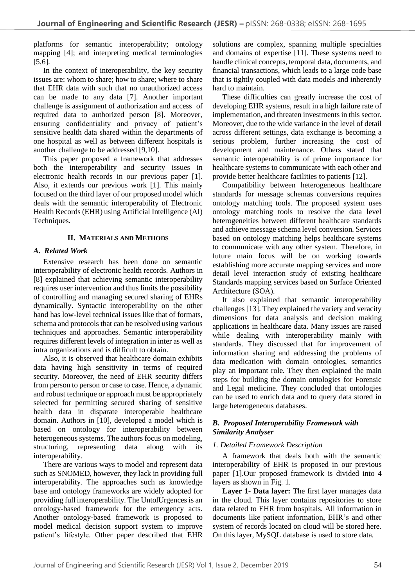platforms for semantic interoperability; ontology mapping [4]; and interpreting medical terminologies [5,6].

In the context of interoperability, the key security issues are: whom to share; how to share; where to share that EHR data with such that no unauthorized access can be made to any data [7]. Another important challenge is assignment of authorization and access of required data to authorized person [8]. Moreover, ensuring confidentiality and privacy of patient's sensitive health data shared within the departments of one hospital as well as between different hospitals is another challenge to be addressed [9,10].

This paper proposed a framework that addresses both the interoperability and security issues in electronic health records in our previous paper [1]. Also, it extends our previous work [1]. This mainly focused on the third layer of our proposed model which deals with the semantic interoperability of Electronic Health Records (EHR) using Artificial Intelligence (AI) Techniques.

# **II. MATERIALS AND METHODS**

# *A. Related Work*

Extensive research has been done on semantic interoperability of electronic health records. Authors in [8] explained that achieving semantic interoperability requires user intervention and thus limits the possibility of controlling and managing secured sharing of EHRs dynamically. Syntactic interoperability on the other hand has low-level technical issues like that of formats, schema and protocols that can be resolved using various techniques and approaches. Semantic interoperability requires different levels of integration in inter as well as intra organizations and is difficult to obtain.

Also, it is observed that healthcare domain exhibits data having high sensitivity in terms of required security. Moreover, the need of EHR security differs from person to person or case to case. Hence, a dynamic and robust technique or approach must be appropriately selected for permitting secured sharing of sensitive health data in disparate interoperable healthcare domain. Authors in [10], developed a model which is based on ontology for interoperability between heterogeneous systems. The authors focus on modeling, structuring, representing data along with its interoperability.

There are various ways to model and represent data such as SNOMED, however, they lack in providing full interoperability. The approaches such as knowledge base and ontology frameworks are widely adopted for providing full interoperability. The UntolUrgences is an ontology-based framework for the emergency acts. Another ontology-based framework is proposed to model medical decision support system to improve patient's lifestyle. Other paper described that EHR

solutions are complex, spanning multiple specialties and domains of expertise [11]. These systems need to handle clinical concepts, temporal data, documents, and financial transactions, which leads to a large code base that is tightly coupled with data models and inherently hard to maintain.

These difficulties can greatly increase the cost of developing EHR systems, result in a high failure rate of implementation, and threaten investments in this sector. Moreover, due to the wide variance in the level of detail across different settings, data exchange is becoming a serious problem, further increasing the cost of development and maintenance. Others stated that semantic interoperability is of prime importance for healthcare systems to communicate with each other and provide better healthcare facilities to patients [12].

Compatibility between heterogeneous healthcare standards for message schemas conversions requires ontology matching tools. The proposed system uses ontology matching tools to resolve the data level heterogeneities between different healthcare standards and achieve message schema level conversion. Services based on ontology matching helps healthcare systems to communicate with any other system. Therefore, in future main focus will be on working towards establishing more accurate mapping services and more detail level interaction study of existing healthcare Standards mapping services based on Surface Oriented Architecture (SOA).

It also explained that semantic interoperability challenges [13]. They explained the variety and veracity dimensions for data analysis and decision making applications in healthcare data. Many issues are raised while dealing with interoperability mainly with standards. They discussed that for improvement of information sharing and addressing the problems of data medication with domain ontologies, semantics play an important role. They then explained the main steps for building the domain ontologies for Forensic and Legal medicine. They concluded that ontologies can be used to enrich data and to query data stored in large heterogeneous databases.

# *B. Proposed Interoperability Framework with Similarity Analyser*

# *1. Detailed Framework Description*

A framework that deals both with the semantic interoperability of EHR is proposed in our previous paper [1].Our proposed framework is divided into 4 layers as shown in Fig. 1.

**Layer 1- Data layer:** The first layer manages data in the cloud. This layer contains repositories to store data related to EHR from hospitals. All information in documents like patient information, EHR's and other system of records located on cloud will be stored here. On this layer, MySQL database is used to store data.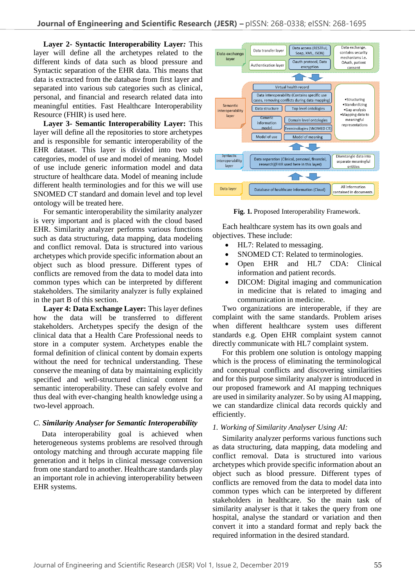**Layer 2- Syntactic Interoperability Layer***:* This layer will define all the archetypes related to the different kinds of data such as blood pressure and Syntactic separation of the EHR data. This means that data is extracted from the database from first layer and separated into various sub categories such as clinical, personal, and financial and research related data into meaningful entities. Fast Healthcare Interoperability Resource (FHIR) is used here.

**Layer 3- Semantic Interoperability Layer:** This layer will define all the repositories to store archetypes and is responsible for semantic interoperability of the EHR dataset. This layer is divided into two sub categories, model of use and model of meaning. Model of use include generic information model and data structure of healthcare data. Model of meaning include different health terminologies and for this we will use SNOMED CT standard and domain level and top level ontology will be treated here.

For semantic interoperability the similarity analyzer is very important and is placed with the cloud based EHR. Similarity analyzer performs various functions such as data structuring, data mapping, data modeling and conflict removal. Data is structured into various archetypes which provide specific information about an object such as blood pressure. Different types of conflicts are removed from the data to model data into common types which can be interpreted by different stakeholders. The similarity analyzer is fully explained in the part B of this section.

**Layer 4: Data Exchange Layer:** This layer defines how the data will be transferred to different stakeholders. Archetypes specify the design of the clinical data that a Health Care Professional needs to store in a computer system. Archetypes enable the formal definition of clinical content by domain experts without the need for technical understanding. These conserve the meaning of data by maintaining explicitly specified and well-structured clinical content for semantic interoperability. These can safely evolve and thus deal with ever-changing health knowledge using a two-level approach.

# *C. Similarity Analyser for Semantic Interoperability*

Data interoperability goal is achieved when heterogeneous systems problems are resolved through ontology matching and through accurate mapping file generation and it helps in clinical message conversion from one standard to another. Healthcare standards play an important role in achieving interoperability between EHR systems.



**Fig. 1.** Proposed Interoperability Framework.

Each healthcare system has its own goals and objectives. These include:

- HL7: Related to messaging.
- SNOMED CT: Related to terminologies.
- Open EHR and HL7 CDA: Clinical information and patient records.
- DICOM: Digital imaging and communication in medicine that is related to imaging and communication in medicine.

Two organizations are interoperable, if they are complaint with the same standards. Problem arises when different healthcare system uses different standards e.g. Open EHR complaint system cannot directly communicate with HL7 complaint system.

For this problem one solution is ontology mapping which is the process of eliminating the terminological and conceptual conflicts and discovering similarities and for this purpose similarity analyzer is introduced in our proposed framework and AI mapping techniques are used in similarity analyzer. So by using AI mapping, we can standardize clinical data records quickly and efficiently.

# *1. Working of Similarity Analyser Using AI:*

Similarity analyzer performs various functions such as data structuring, data mapping, data modeling and conflict removal. Data is structured into various archetypes which provide specific information about an object such as blood pressure. Different types of conflicts are removed from the data to model data into common types which can be interpreted by different stakeholders in healthcare. So the main task of similarity analyser is that it takes the query from one hospital, analyse the standard or variation and then convert it into a standard format and reply back the required information in the desired standard.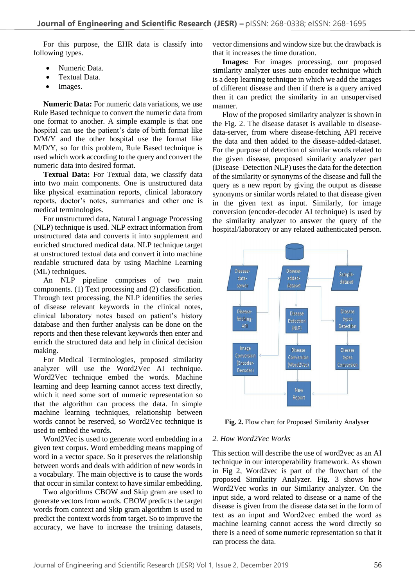For this purpose, the EHR data is classify into following types.

- Numeric Data.
- Textual Data.
- Images.

**Numeric Data:** For numeric data variations, we use Rule Based technique to convert the numeric data from one format to another. A simple example is that one hospital can use the patient's date of birth format like D/M/Y and the other hospital use the format like M/D/Y, so for this problem, Rule Based technique is used which work according to the query and convert the numeric data into desired format.

**Textual Data:** For Textual data, we classify data into two main components. One is unstructured data like physical examination reports, clinical laboratory reports, doctor's notes, summaries and other one is medical terminologies.

For unstructured data, Natural Language Processing (NLP) technique is used. NLP extract information from unstructured data and converts it into supplement and enriched structured medical data. NLP technique target at unstructured textual data and convert it into machine readable structured data by using Machine Learning (ML) techniques.

An NLP pipeline comprises of two main components. (1) Text processing and (2) classification. Through text processing, the NLP identifies the series of disease relevant keywords in the clinical notes, clinical laboratory notes based on patient's history database and then further analysis can be done on the reports and then these relevant keywords then enter and enrich the structured data and help in clinical decision making.

For Medical Terminologies, proposed similarity analyzer will use the Word2Vec AI technique. Word2Vec technique embed the words. Machine learning and deep learning cannot access text directly, which it need some sort of numeric representation so that the algorithm can process the data. In simple machine learning techniques, relationship between words cannot be reserved, so Word2Vec technique is used to embed the words.

Word2Vec is used to generate word embedding in a given text corpus. Word embedding means mapping of word in a vector space. So it preserves the relationship between words and deals with addition of new words in a vocabulary. The main objective is to cause the words that occur in similar context to have similar embedding.

Two algorithms CBOW and Skip gram are used to generate vectors from words. CBOW predicts the target words from context and Skip gram algorithm is used to predict the context words from target. So to improve the accuracy, we have to increase the training datasets, vector dimensions and window size but the drawback is that it increases the time duration.

**Images:** For images processing, our proposed similarity analyzer uses auto encoder technique which is a deep learning technique in which we add the images of different disease and then if there is a query arrived then it can predict the similarity in an unsupervised manner.

Flow of the proposed similarity analyzer is shown in the Fig. 2. The disease dataset is available to diseasedata-server, from where disease-fetching API receive the data and then added to the disease-added-dataset. For the purpose of detection of similar words related to the given disease, proposed similarity analyzer part (Disease–Detection NLP) uses the data for the detection of the similarity or synonyms of the disease and full the query as a new report by giving the output as disease synonyms or similar words related to that disease given in the given text as input. Similarly, for image conversion (encoder-decoder AI technique) is used by the similarity analyzer to answer the query of the hospital/laboratory or any related authenticated person.



**Fig. 2.** Flow chart for Proposed Similarity Analyser

### *2. How Word2Vec Works*

This section will describe the use of word2vec as an AI technique in our interoperability framework. As shown in Fig 2, Word2vec is part of the flowchart of the proposed Similarity Analyzer. Fig. 3 shows how Word2Vec works in our Similarity analyzer. On the input side, a word related to disease or a name of the disease is given from the disease data set in the form of text as an input and Word2vec embed the word as machine learning cannot access the word directly so there is a need of some numeric representation so that it can process the data.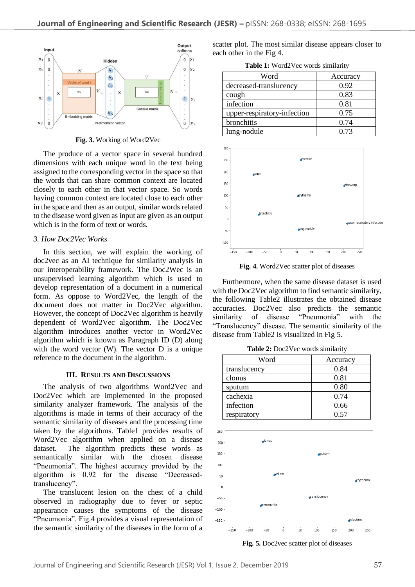

**Fig. 3.** Working of Word2Vec

The produce of a vector space in several hundred dimensions with each unique word in the text being assigned to the corresponding vector in the space so that the words that can share common context are located closely to each other in that vector space. So words having common context are located close to each other in the space and then as an output, similar words related to the disease word given as input are given as an output which is in the form of text or words.

#### *3. How Doc2Vec Works*

In this section, we will explain the working of doc2vec as an AI technique for similarity analysis in our interoperability framework. The Doc2Wec is an unsupervised learning algorithm which is used to develop representation of a document in a numerical form. As oppose to Word2Vec, the length of the document does not matter in Doc2Vec algorithm. However, the concept of Doc2Vec algorithm is heavily dependent of Word2Vec algorithm. The Doc2Vec algorithm introduces another vector in Word2Vec algorithm which is known as Paragraph ID (D) along with the word vector (W). The vector D is a unique reference to the document in the algorithm.

### **III. RESULTS AND DISCUSSIONS**

The analysis of two algorithms Word2Vec and Doc2Vec which are implemented in the proposed similarity analyzer framework. The analysis of the algorithms is made in terms of their accuracy of the semantic similarity of diseases and the processing time taken by the algorithms. Table1 provides results of Word2Vec algorithm when applied on a disease dataset. The algorithm predicts these words as semantically similar with the chosen disease "Pneumonia". The highest accuracy provided by the algorithm is 0.92 for the disease "Decreasedtranslucency".

The translucent lesion on the chest of a child observed in radiography due to fever or septic appearance causes the symptoms of the disease "Pneumonia". Fig.4 provides a visual representation of the semantic similarity of the diseases in the form of a scatter plot. The most similar disease appears closer to each other in the Fig 4.

**Table 1:** Word2Vec words similarity

| Word                        | Accuracy |  |
|-----------------------------|----------|--|
| decreased-translucency      | 0.92     |  |
| cough                       | 0.83     |  |
| infection                   | 0.81     |  |
| upper-respiratory-infection | 0.75     |  |
| bronchitis                  | 0.74     |  |
| lung-nodule                 | 0.73     |  |



**Fig. 4.** Word2Vec scatter plot of diseases

Furthermore, when the same disease dataset is used with the Doc2Vec algorithm to find semantic similarity, the following Table2 illustrates the obtained disease accuracies. Doc2Vec also predicts the semantic similarity of disease "Pneumonia" with the "Translucency" disease. The semantic similarity of the disease from Table2 is visualized in Fig 5.

**Table 2:** Doc2Vec words similarity

| Word         | Accuracy |  |  |
|--------------|----------|--|--|
| translucency | 0.84     |  |  |
| clonus       | 0.81     |  |  |
| sputum       | 0.80     |  |  |
| cachexia     | 0.74     |  |  |
| infection    | 0.66     |  |  |
| respiratory  | በ 57     |  |  |



**Fig. 5.** Doc2vec scatter plot of diseases